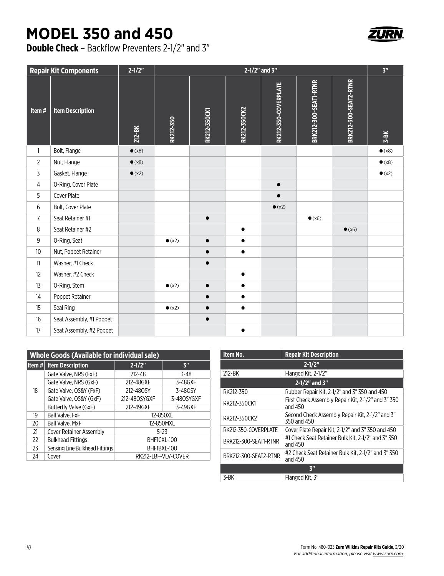## **MODEL 350 and 450**

**Double Check** – Backflow Preventers 2-1/2" and 3"

| <b>Repair Kit Components</b> | $2 - 1/2"$     | 2-1/2" and 3"  |                     |              | 3 <sup>n</sup>       |                       |                       |                |
|------------------------------|----------------|----------------|---------------------|--------------|----------------------|-----------------------|-----------------------|----------------|
| <b>Item Description</b>      | $212 - BK$     | RK212-350      | <b>RK212-350CK1</b> | RK212-350CK2 | RK212-350-COVERPLATE | BRK212-300-SEAT1-RTNR | BRK212-300-SEAT2-RTNR | $3 - BK$       |
| Bolt, Flange                 | $\bullet$ (x8) |                |                     |              |                      |                       |                       | $\bullet$ (x8) |
| Nut, Flange                  | $\bullet$ (x8) |                |                     |              |                      |                       |                       | $\bullet$ (x8) |
| Gasket, Flange               | $\bullet$ (x2) |                |                     |              |                      |                       |                       | $\bullet$ (x2) |
| O-Ring, Cover Plate          |                |                |                     |              | $\bullet$            |                       |                       |                |
| Cover Plate                  |                |                |                     |              |                      |                       |                       |                |
| Bolt, Cover Plate            |                |                |                     |              | $\bullet$ (x2)       |                       |                       |                |
| Seat Retainer #1             |                |                | $\bullet$           |              |                      | $\bullet$ (x6)        |                       |                |
| Seat Retainer #2             |                |                |                     | $\bullet$    |                      |                       | $\bullet$ (x6)        |                |
| O-Ring, Seat                 |                | $\bullet$ (x2) | $\bullet$           | $\bullet$    |                      |                       |                       |                |
| Nut, Poppet Retainer         |                |                | $\bullet$           | $\bullet$    |                      |                       |                       |                |
| Washer, #1 Check             |                |                | $\bullet$           |              |                      |                       |                       |                |
| Washer, #2 Check             |                |                |                     | $\bullet$    |                      |                       |                       |                |
| O-Ring, Stem                 |                | $\bullet$ (x2) | $\bullet$           | $\bullet$    |                      |                       |                       |                |
| Poppet Retainer              |                |                | $\bullet$           | $\bullet$    |                      |                       |                       |                |
| Seal Ring                    |                | $\bullet$ (x2) | $\bullet$           | $\bullet$    |                      |                       |                       |                |
| Seat Assembly, #1 Poppet     |                |                | $\bullet$           |              |                      |                       |                       |                |
| Seat Assembly, #2 Poppet     |                |                |                     | $\bullet$    |                      |                       |                       |                |
|                              |                |                |                     |              |                      |                       |                       |                |

| <b>Whole Goods (Available for individual sale)</b> |                                |                     |                |  |  |  |
|----------------------------------------------------|--------------------------------|---------------------|----------------|--|--|--|
|                                                    | <b>Item # Item Description</b> | $2 - 1/2"$          | 3 <sup>n</sup> |  |  |  |
|                                                    | Gate Valve, NRS (FxF)          | $212 - 48$          | $3 - 48$       |  |  |  |
|                                                    | Gate Valve, NRS (GxF)          | 212-48GXF           | 3-48GXF        |  |  |  |
| 18                                                 | Gate Valve, OS&Y (FxF)         | 212-480SY           | 3-480SY        |  |  |  |
|                                                    | Gate Valve, OS&Y (GxF)         | 212-480SYGXF        | 3-480SYGXF     |  |  |  |
|                                                    | Butterfly Valve (GxF)          | 212-49GXF           | 3-49GXF        |  |  |  |
| 19                                                 | Ball Valve, FxF                | 12-850XL            |                |  |  |  |
| 20                                                 | Ball Valve, MxF                | 12-850MXL           |                |  |  |  |
| 21                                                 | <b>Cover Retainer Assembly</b> | $5-23$              |                |  |  |  |
| 22                                                 | <b>Bulkhead Fittings</b>       | BHF1CXL-100         |                |  |  |  |
| 23                                                 | Sensing Line Bulkhead Fittings | BHF1BXL-100         |                |  |  |  |
| 24                                                 | Cover                          | RK212-LBF-VLV-COVER |                |  |  |  |

| Item No.              | <b>Repair Kit Description</b>                                   |  |  |  |  |
|-----------------------|-----------------------------------------------------------------|--|--|--|--|
|                       | $2 - 1/2"$                                                      |  |  |  |  |
| 212-BK                | Flanged Kit, 2-1/2"                                             |  |  |  |  |
| $2 - 1/2$ " and $3$ " |                                                                 |  |  |  |  |
| RK212-350             | Rubber Repair Kit, 2-1/2" and 3" 350 and 450                    |  |  |  |  |
| RK212-350CK1          | First Check Assembly Repair Kit, 2-1/2" and 3" 350<br>and 450   |  |  |  |  |
| RK212-350CK2          | Second Check Assembly Repair Kit. 2-1/2" and 3"<br>350 and 450  |  |  |  |  |
| RK212-350-COVERPLATE  | Cover Plate Repair Kit, 2-1/2" and 3" 350 and 450               |  |  |  |  |
| BRK212-300-SEAT1-RTNR | #1 Check Seat Retainer Bulk Kit, 2-1/2" and 3" 350<br>and $450$ |  |  |  |  |
| BRK212-300-SEAT2-RTNR | #2 Check Seat Retainer Bulk Kit. 2-1/2" and 3" 350<br>and 450   |  |  |  |  |
| 3 <sup>II</sup>       |                                                                 |  |  |  |  |
| 3-BK                  | Flanged Kit. 3"                                                 |  |  |  |  |